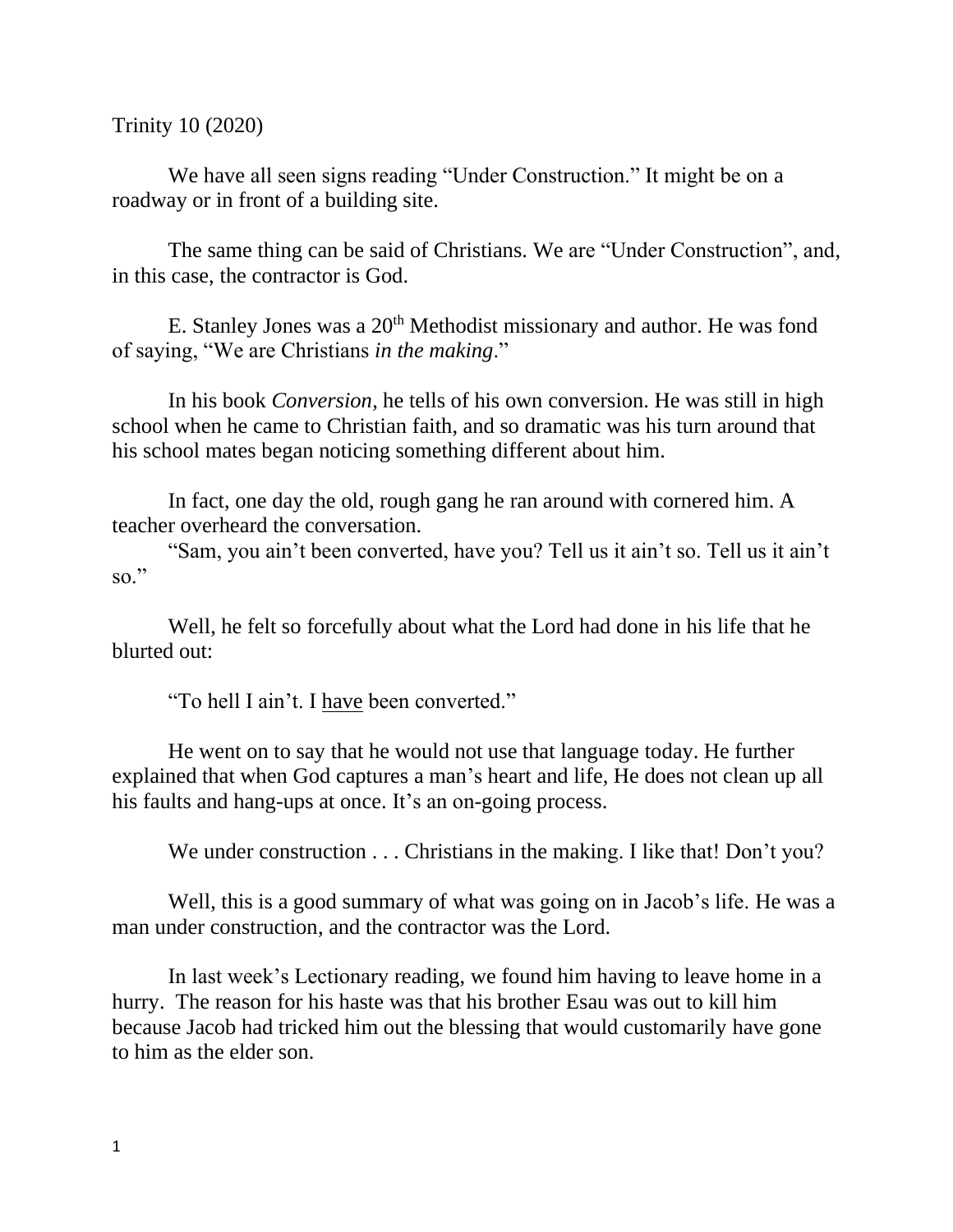Trinity 10 (2020)

We have all seen signs reading "Under Construction." It might be on a roadway or in front of a building site.

The same thing can be said of Christians. We are "Under Construction", and, in this case, the contractor is God.

E. Stanley Jones was a  $20<sup>th</sup>$  Methodist missionary and author. He was fond of saying, "We are Christians *in the making*."

In his book *Conversion*, he tells of his own conversion. He was still in high school when he came to Christian faith, and so dramatic was his turn around that his school mates began noticing something different about him.

In fact, one day the old, rough gang he ran around with cornered him. A teacher overheard the conversation.

"Sam, you ain't been converted, have you? Tell us it ain't so. Tell us it ain't so."

Well, he felt so forcefully about what the Lord had done in his life that he blurted out:

"To hell I ain't. I have been converted."

He went on to say that he would not use that language today. He further explained that when God captures a man's heart and life, He does not clean up all his faults and hang-ups at once. It's an on-going process.

We under construction . . . Christians in the making. I like that! Don't you?

Well, this is a good summary of what was going on in Jacob's life. He was a man under construction, and the contractor was the Lord.

In last week's Lectionary reading, we found him having to leave home in a hurry. The reason for his haste was that his brother Esau was out to kill him because Jacob had tricked him out the blessing that would customarily have gone to him as the elder son.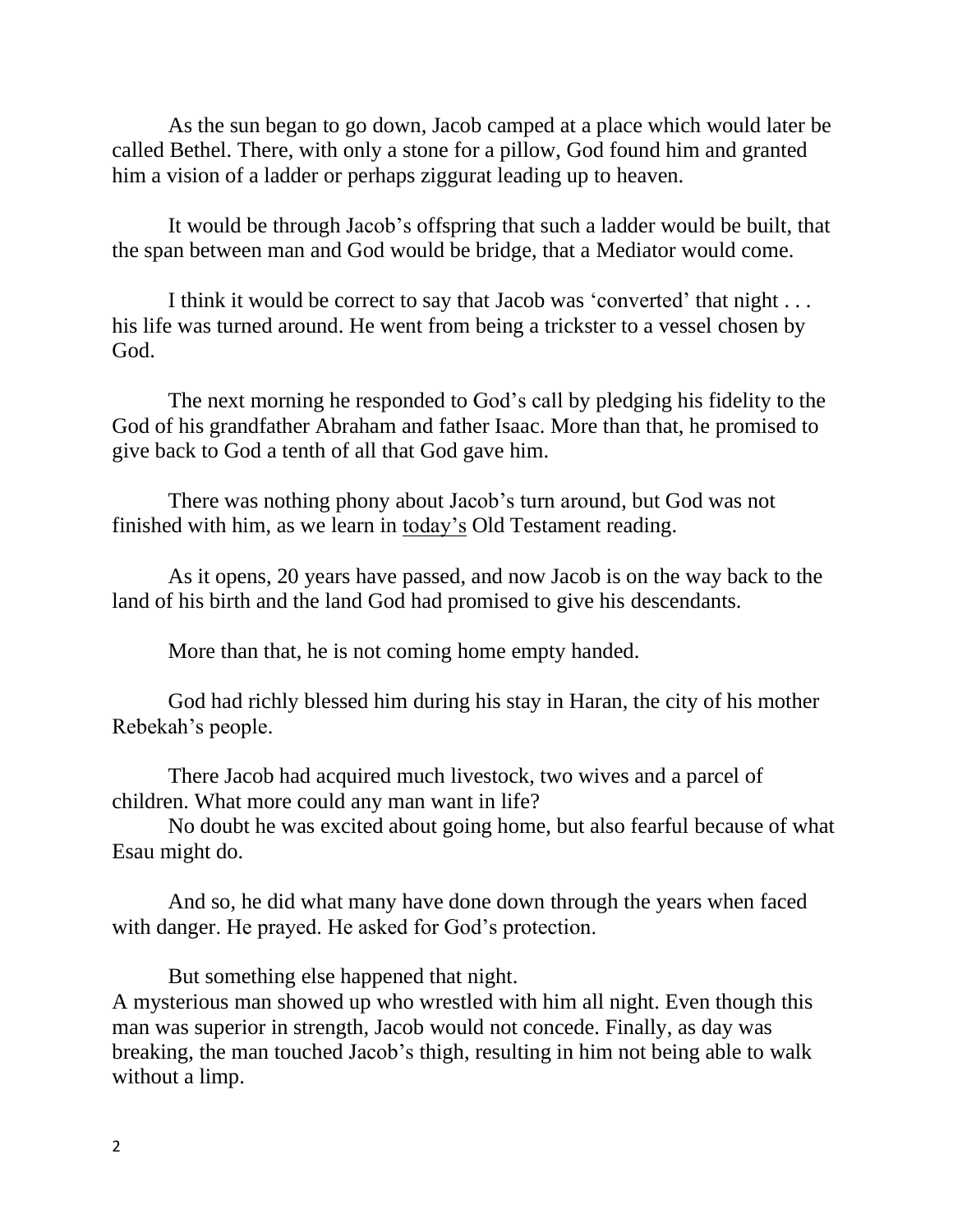As the sun began to go down, Jacob camped at a place which would later be called Bethel. There, with only a stone for a pillow, God found him and granted him a vision of a ladder or perhaps ziggurat leading up to heaven.

It would be through Jacob's offspring that such a ladder would be built, that the span between man and God would be bridge, that a Mediator would come.

I think it would be correct to say that Jacob was 'converted' that night . . . his life was turned around. He went from being a trickster to a vessel chosen by God.

The next morning he responded to God's call by pledging his fidelity to the God of his grandfather Abraham and father Isaac. More than that, he promised to give back to God a tenth of all that God gave him.

There was nothing phony about Jacob's turn around, but God was not finished with him, as we learn in today's Old Testament reading.

As it opens, 20 years have passed, and now Jacob is on the way back to the land of his birth and the land God had promised to give his descendants.

More than that, he is not coming home empty handed.

God had richly blessed him during his stay in Haran, the city of his mother Rebekah's people.

There Jacob had acquired much livestock, two wives and a parcel of children. What more could any man want in life?

No doubt he was excited about going home, but also fearful because of what Esau might do.

And so, he did what many have done down through the years when faced with danger. He prayed. He asked for God's protection.

But something else happened that night. A mysterious man showed up who wrestled with him all night. Even though this man was superior in strength, Jacob would not concede. Finally, as day was breaking, the man touched Jacob's thigh, resulting in him not being able to walk without a limp.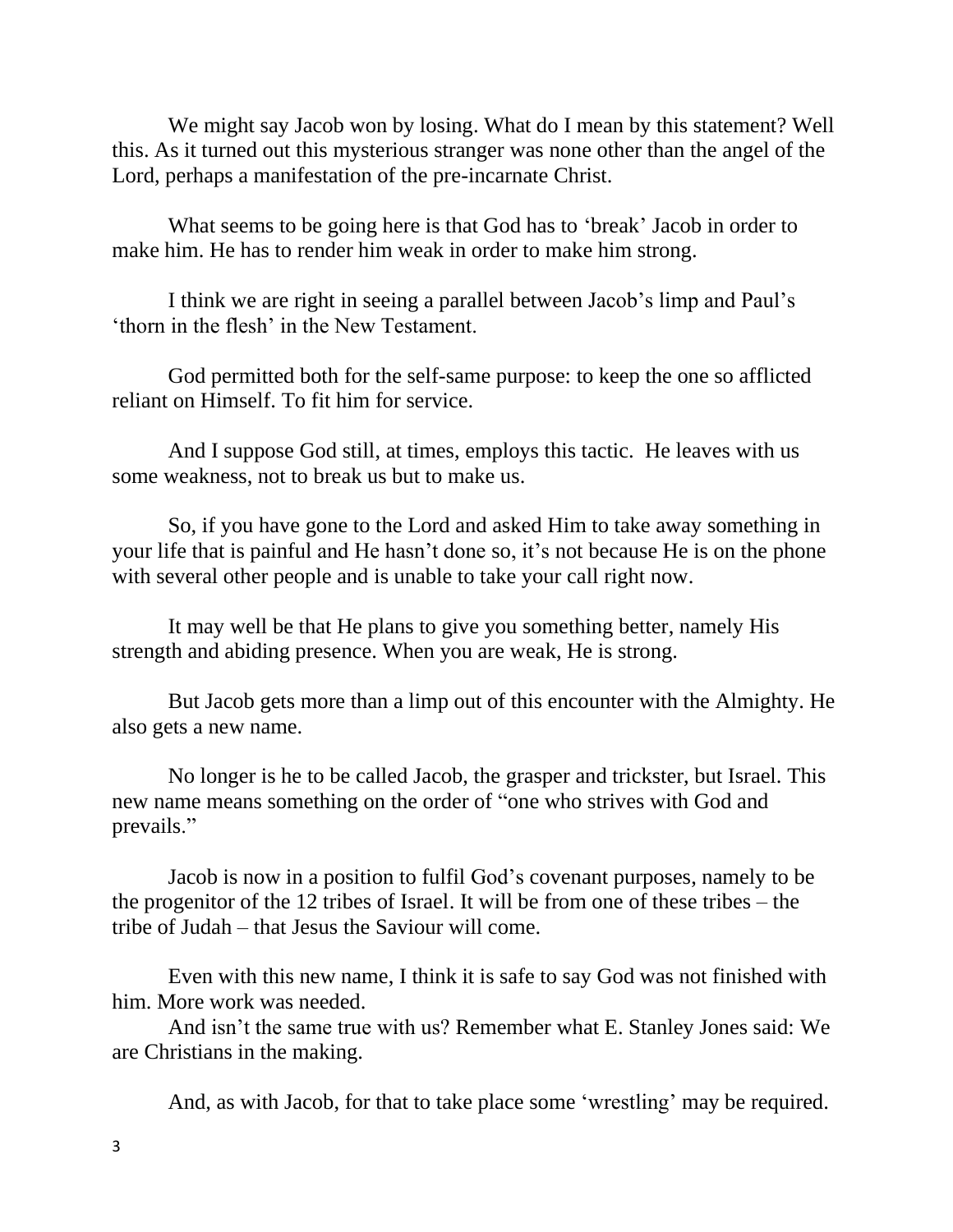We might say Jacob won by losing. What do I mean by this statement? Well this. As it turned out this mysterious stranger was none other than the angel of the Lord, perhaps a manifestation of the pre-incarnate Christ.

What seems to be going here is that God has to 'break' Jacob in order to make him. He has to render him weak in order to make him strong.

I think we are right in seeing a parallel between Jacob's limp and Paul's 'thorn in the flesh' in the New Testament.

God permitted both for the self-same purpose: to keep the one so afflicted reliant on Himself. To fit him for service.

And I suppose God still, at times, employs this tactic. He leaves with us some weakness, not to break us but to make us.

So, if you have gone to the Lord and asked Him to take away something in your life that is painful and He hasn't done so, it's not because He is on the phone with several other people and is unable to take your call right now.

It may well be that He plans to give you something better, namely His strength and abiding presence. When you are weak, He is strong.

But Jacob gets more than a limp out of this encounter with the Almighty. He also gets a new name.

No longer is he to be called Jacob, the grasper and trickster, but Israel. This new name means something on the order of "one who strives with God and prevails."

Jacob is now in a position to fulfil God's covenant purposes, namely to be the progenitor of the 12 tribes of Israel. It will be from one of these tribes – the tribe of Judah – that Jesus the Saviour will come.

Even with this new name, I think it is safe to say God was not finished with him. More work was needed.

And isn't the same true with us? Remember what E. Stanley Jones said: We are Christians in the making.

And, as with Jacob, for that to take place some 'wrestling' may be required.